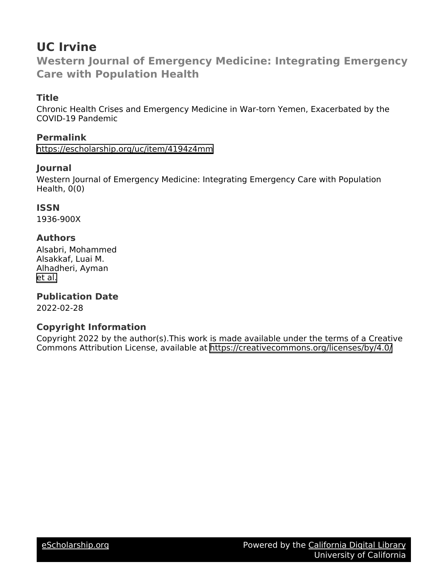## **UC Irvine**

**Western Journal of Emergency Medicine: Integrating Emergency Care with Population Health**

## **Title**

Chronic Health Crises and Emergency Medicine in War-torn Yemen, Exacerbated by the COVID-19 Pandemic

## **Permalink**

<https://escholarship.org/uc/item/4194z4mm>

## **Journal**

Western Journal of Emergency Medicine: Integrating Emergency Care with Population Health, 0(0)

## **ISSN**

1936-900X

## **Authors**

Alsabri, Mohammed Alsakkaf, Luai M. Alhadheri, Ayman [et al.](https://escholarship.org/uc/item/4194z4mm#author)

## **Publication Date**

2022-02-28

## **Copyright Information**

Copyright 2022 by the author(s).This work is made available under the terms of a Creative Commons Attribution License, available at <https://creativecommons.org/licenses/by/4.0/>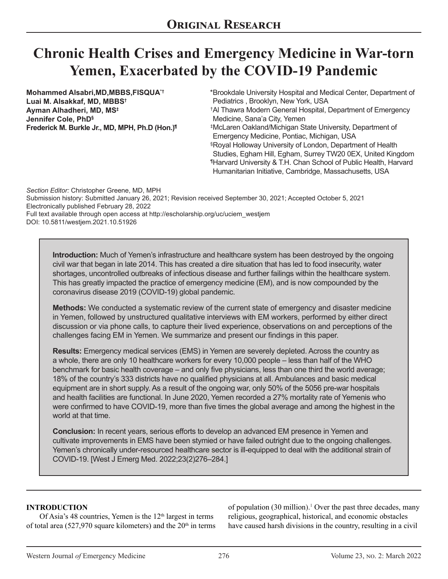# **Chronic Health Crises and Emergency Medicine in War-torn Yemen, Exacerbated by the COVID-19 Pandemic**

**Mohammed Alsabri,MD,MBBS,FISQUA\*† Luai M. Alsakkaf, MD, MBBS† Ayman Alhadheri, MD, MS‡ Jennifer Cole, PhD§ Frederick M. Burkle Jr., MD, MPH, Ph.D (Hon.)¶** Brookdale University Hospital and Medical Center, Department of \* Pediatrics , Brooklyn, New York, USA Al Thawra Modern General Hospital, Department of Emergency † Medicine, Sana'a City, Yemen McLaren Oakland/Michigan State University, Department of ‡ Emergency Medicine, Pontiac, Michigan, USA Royal Holloway University of London, Department of Health § Studies, Egham Hill, Egham, Surrey TW20 0EX, United Kingdom Harvard University & T.H. Chan School of Public Health, Harvard ¶ Humanitarian Initiative, Cambridge, Massachusetts, USA

*Section Editor:* Christopher Greene, MD, MPH Submission history: Submitted January 26, 2021; Revision received September 30, 2021; Accepted October 5, 2021 Electronically published February 28, 2022 Full text available through open access at http://escholarship.org/uc/uciem\_westjem DOI: 10.5811/westjem.2021.10.51926

**Introduction:** Much of Yemen's infrastructure and healthcare system has been destroyed by the ongoing civil war that began in late 2014. This has created a dire situation that has led to food insecurity, water shortages, uncontrolled outbreaks of infectious disease and further failings within the healthcare system. This has greatly impacted the practice of emergency medicine (EM), and is now compounded by the coronavirus disease 2019 (COVID-19) global pandemic.

**Methods:** We conducted a systematic review of the current state of emergency and disaster medicine in Yemen, followed by unstructured qualitative interviews with EM workers, performed by either direct discussion or via phone calls, to capture their lived experience, observations on and perceptions of the challenges facing EM in Yemen. We summarize and present our findings in this paper.

**Results:** Emergency medical services (EMS) in Yemen are severely depleted. Across the country as a whole, there are only 10 healthcare workers for every 10,000 people – less than half of the WHO benchmark for basic health coverage – and only five physicians, less than one third the world average; 18% of the country's 333 districts have no qualified physicians at all. Ambulances and basic medical equipment are in short supply. As a result of the ongoing war, only 50% of the 5056 pre-war hospitals and health facilities are functional. In June 2020, Yemen recorded a 27% mortality rate of Yemenis who were confirmed to have COVID-19, more than five times the global average and among the highest in the world at that time.

**Conclusion:** In recent years, serious efforts to develop an advanced EM presence in Yemen and cultivate improvements in EMS have been stymied or have failed outright due to the ongoing challenges. Yemen's chronically under-resourced healthcare sector is ill-equipped to deal with the additional strain of COVID-19. [West J Emerg Med. 2022;23(2)276–284.]

#### **INTRODUCTION**

Of Asia's 48 countries, Yemen is the  $12<sup>th</sup>$  largest in terms of total area (527,970 square kilometers) and the  $20<sup>th</sup>$  in terms of population (30 million).<sup>1</sup> Over the past three decades, many religious, geographical, historical, and economic obstacles have caused harsh divisions in the country, resulting in a civil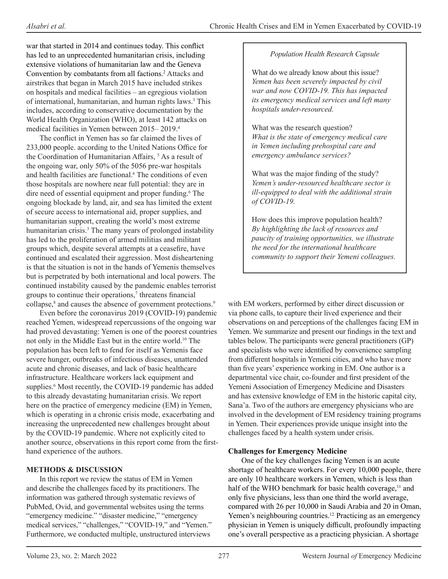war that started in 2014 and continues today. This conflict has led to an unprecedented humanitarian crisis, including extensive violations of humanitarian law and the Geneva Convention by combatants from all factions.2 Attacks and airstrikes that began in March 2015 have included strikes on hospitals and medical facilities – an egregious violation of international, humanitarian, and human rights laws.<sup>3</sup> This includes, according to conservative documentation by the World Health Organization (WHO), at least 142 attacks on medical facilities in Yemen between 2015– 2019.4

The conflict in Yemen has so far claimed the lives of 233,000 people. according to the United Nations Office for the Coordination of Humanitarian Affairs, <sup>5</sup> As a result of the ongoing war, only 50% of the 5056 pre-war hospitals and health facilities are functional.<sup>6</sup> The conditions of even those hospitals are nowhere near full potential: they are in dire need of essential equipment and proper funding.<sup>6</sup> The ongoing blockade by land, air, and sea has limited the extent of secure access to international aid, proper supplies, and humanitarian support, creating the world's most extreme humanitarian crisis.3 The many years of prolonged instability has led to the proliferation of armed militias and militant groups which, despite several attempts at a ceasefire, have continued and escalated their aggression. Most disheartening is that the situation is not in the hands of Yemenis themselves but is perpetrated by both international and local powers. The continued instability caused by the pandemic enables terrorist groups to continue their operations,<sup>7</sup> threatens financial collapse,<sup>8</sup> and causes the absence of government protections.<sup>9</sup>

Even before the coronavirus 2019 (COVID-19) pandemic reached Yemen, widespread repercussions of the ongoing war had proved devastating: Yemen is one of the poorest countries not only in the Middle East but in the entire world.10 The population has been left to fend for itself as Yemenis face severe hunger, outbreaks of infectious diseases, unattended acute and chronic diseases, and lack of basic healthcare infrastructure. Healthcare workers lack equipment and supplies.<sup>6</sup> Most recently, the COVID-19 pandemic has added to this already devastating humanitarian crisis. We report here on the practice of emergency medicine (EM) in Yemen, which is operating in a chronic crisis mode, exacerbating and increasing the unprecedented new challenges brought about by the COVID-19 pandemic. Where not explicitly cited to another source, observations in this report come from the firsthand experience of the authors.

#### **METHODS & DISCUSSION**

In this report we review the status of EM in Yemen and describe the challenges faced by its practitioners. The information was gathered through systematic reviews of PubMed, Ovid, and governmental websites using the terms "emergency medicine." "disaster medicine," "emergency medical services," "challenges," "COVID-19," and "Yemen." Furthermore, we conducted multiple, unstructured interviews

#### *Population Health Research Capsule*

What do we already know about this issue? *Yemen has been severely impacted by civil war and now COVID-19. This has impacted its emergency medical services and left many hospitals under-resourced.*

What was the research question? *What is the state of emergency medical care in Yemen including prehospital care and emergency ambulance services?*

What was the major finding of the study? *Yemen's under-resourced healthcare sector is ill-equipped to deal with the additional strain of COVID-19.*

How does this improve population health? *By highlighting the lack of resources and paucity of training opportunities, we illustrate the need for the international healthcare community to support their Yemeni colleagues.* 

with EM workers, performed by either direct discussion or via phone calls, to capture their lived experience and their observations on and perceptions of the challenges facing EM in Yemen. We summarize and present our findings in the text and tables below. The participants were general practitioners (GP) and specialists who were identified by convenience sampling from different hospitals in Yemeni cities, and who have more than five years' experience working in EM. One author is a departmental vice chair, co-founder and first president of the Yemeni Association of Emergency Medicine and Disasters and has extensive knowledge of EM in the historic capital city, Sana'a. Two of the authors are emergency physicians who are involved in the development of EM residency training programs in Yemen. Their experiences provide unique insight into the challenges faced by a health system under crisis.

#### **Challenges for Emergency Medicine**

One of the key challenges facing Yemen is an acute shortage of healthcare workers. For every 10,000 people, there are only 10 healthcare workers in Yemen, which is less than half of the WHO benchmark for basic health coverage,<sup>11</sup> and only five physicians, less than one third the world average, compared with 26 per 10,000 in Saudi Arabia and 20 in Oman, Yemen's neighbouring countries.<sup>12</sup> Practicing as an emergency physician in Yemen is uniquely difficult, profoundly impacting one's overall perspective as a practicing physician. A shortage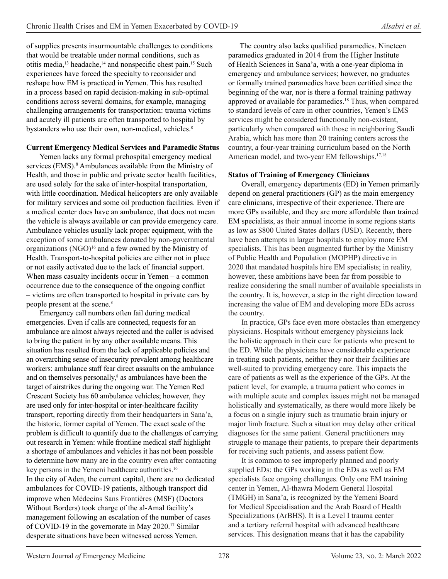of supplies presents insurmountable challenges to conditions that would be treatable under normal conditions, such as otitis media,<sup>13</sup> headache,<sup>14</sup> and nonspecific chest pain.<sup>15</sup> Such experiences have forced the specialty to reconsider and reshape how EM is practiced in Yemen. This has resulted in a process based on rapid decision-making in sub-optimal conditions across several domains, for example, managing challenging arrangements for transportation: trauma victims and acutely ill patients are often transported to hospital by bystanders who use their own, non-medical, vehicles.<sup>8</sup>

#### **Current Emergency Medical Services and Paramedic Status**

Yemen lacks any formal prehospital emergency medical services (EMS).<sup>8</sup> Ambulances available from the Ministry of Health, and those in public and private sector health facilities, are used solely for the sake of inter-hospital transportation, with little coordination. Medical helicopters are only available for military services and some oil production facilities. Even if a medical center does have an ambulance, that does not mean the vehicle is always available or can provide emergency care. Ambulance vehicles usually lack proper equipment, with the exception of some ambulances donated by non-governmental organizations (NGO)<sup>16</sup> and a few owned by the Ministry of Health. Transport-to-hospital policies are either not in place or not easily activated due to the lack of financial support. When mass casualty incidents occur in Yemen – a common occurrence due to the consequence of the ongoing conflict – victims are often transported to hospital in private cars by people present at the scene.8

Emergency call numbers often fail during medical emergencies. Even if calls are connected, requests for an ambulance are almost always rejected and the caller is advised to bring the patient in by any other available means. This situation has resulted from the lack of applicable policies and an overarching sense of insecurity prevalent among healthcare workers: ambulance staff fear direct assaults on the ambulance and on themselves personally,<sup>8</sup> as ambulances have been the target of airstrikes during the ongoing war. The Yemen Red Crescent Society has 60 ambulance vehicles; however, they are used only for inter-hospital or inter-healthcare facility transport, reporting directly from their headquarters in Sana'a, the historic, former capital of Yemen. The exact scale of the problem is difficult to quantify due to the challenges of carrying out research in Yemen: while frontline medical staff highlight a shortage of ambulances and vehicles it has not been possible to determine how many are in the country even after contacting key persons in the Yemeni healthcare authorities.<sup>16</sup> In the city of Aden, the current capital, there are no dedicated ambulances for COVID-19 patients, although transport did improve when Médecins Sans Frontières (MSF) (Doctors Without Borders) took charge of the al-Amal facility's management following an escalation of the number of cases of COVID-19 in the governorate in May 2020. <sup>17</sup> Similar desperate situations have been witnessed across Yemen.

 The country also lacks qualified paramedics. Nineteen paramedics graduated in 2014 from the Higher Institute of Health Sciences in Sana'a, with a one-year diploma in emergency and ambulance services; however, no graduates or formally trained paramedics have been certified since the beginning of the war, nor is there a formal training pathway approved or available for paramedics.<sup>18</sup> Thus, when compared to standard levels of care in other countries, Yemen's EMS services might be considered functionally non-existent, particularly when compared with those in neighboring Saudi Arabia, which has more than 20 training centers across the country, a four-year training curriculum based on the North American model, and two-year EM fellowships.<sup>17,18</sup>

#### **Status of Training of Emergency Clinicians**

Overall, emergency departments (ED) in Yemen primarily depend on general practitioners (GP) as the main emergency care clinicians, irrespective of their experience. There are more GPs available, and they are more affordable than trained EM specialists, as their annual income in some regions starts as low as \$800 United States dollars (USD). Recently, there have been attempts in larger hospitals to employ more EM specialists. This has been augmented further by the Ministry of Public Health and Population (MOPHP) directive in 2020 that mandated hospitals hire EM specialists; in reality, however, these ambitions have been far from possible to realize considering the small number of available specialists in the country. It is, however, a step in the right direction toward increasing the value of EM and developing more EDs across the country.

In practice, GPs face even more obstacles than emergency physicians. Hospitals without emergency physicians lack the holistic approach in their care for patients who present to the ED. While the physicians have considerable experience in treating such patients, neither they nor their facilities are well-suited to providing emergency care. This impacts the care of patients as well as the experience of the GPs. At the patient level, for example, a trauma patient who comes in with multiple acute and complex issues might not be managed holistically and systematically, as there would more likely be a focus on a single injury such as traumatic brain injury or major limb fracture. Such a situation may delay other critical diagnoses for the same patient. General practitioners may struggle to manage their patients, to prepare their departments for receiving such patients, and assess patient flow.

It is common to see improperly planned and poorly supplied EDs: the GPs working in the EDs as well as EM specialists face ongoing challenges. Only one EM training center in Yemen, Al-thawra Modern General Hospital (TMGH) in Sana'a, is recognized by the Yemeni Board for Medical Specialisation and the Arab Board of Health Specializations (ArBHS). It is a Level I trauma center and a tertiary referral hospital with advanced healthcare services. This designation means that it has the capability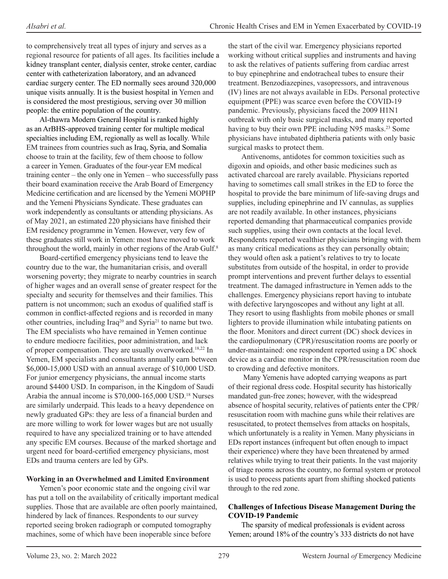to comprehensively treat all types of injury and serves as a regional resource for patients of all ages. Its facilities include a kidney transplant center, dialysis center, stroke center, cardiac center with catheterization laboratory, and an advanced cardiac surgery center. The ED normally sees around 320,000 unique visits annually. It is the busiest hospital in Yemen and is considered the most prestigious, serving over 30 million people: the entire population of the country.

Al-thawra Modern General Hospital is ranked highly as an ArBHS-approved training center for multiple medical specialties including EM, regionally as well as locally. While EM trainees from countries such as Iraq, Syria, and Somalia choose to train at the facility, few of them choose to follow a career in Yemen. Graduates of the four-year EM medical training center – the only one in Yemen – who successfully pass their board examination receive the Arab Board of Emergency Medicine certification and are licensed by the Yemeni MOPHP and the Yemeni Physicians Syndicate. These graduates can work independently as consultants or attending physicians. As of May 2021, an estimated 220 physicians have finished their EM residency programme in Yemen. However, very few of these graduates still work in Yemen: most have moved to work throughout the world, mainly in other regions of the Arab Gulf.<sup>8</sup>

Board-certified emergency physicians tend to leave the country due to the war, the humanitarian crisis, and overall worsening poverty; they migrate to nearby countries in search of higher wages and an overall sense of greater respect for the specialty and security for themselves and their families. This pattern is not uncommon; such an exodus of qualified staff is common in conflict-affected regions and is recorded in many other countries, including Iraq<sup>20</sup> and Syria<sup>21</sup> to name but two. The EM specialists who have remained in Yemen continue to endure mediocre facilities, poor administration, and lack of proper compensation. They are usually overworked.<sup>18,22</sup> In Yemen, EM specialists and consultants annually earn between \$6,000-15,000 USD with an annual average of \$10,000 USD. For junior emergency physicians, the annual income starts around \$4400 USD. In comparison, in the Kingdom of Saudi Arabia the annual income is \$70,000-165,000 USD.18 Nurses are similarly underpaid. This leads to a heavy dependence on newly graduated GPs: they are less of a financial burden and are more willing to work for lower wages but are not usually required to have any specialized training or to have attended any specific EM courses. Because of the marked shortage and urgent need for board-certified emergency physicians, most EDs and trauma centers are led by GPs.

#### **Working in an Overwhelmed and Limited Environment**

Yemen's poor economic state and the ongoing civil war has put a toll on the availability of critically important medical supplies. Those that are available are often poorly maintained, hindered by lack of finances. Respondents to our survey reported seeing broken radiograph or computed tomography machines, some of which have been inoperable since before

the start of the civil war. Emergency physicians reported working without critical supplies and instruments and having to ask the relatives of patients suffering from cardiac arrest to buy epinephrine and endotracheal tubes to ensure their treatment. Benzodiazepines, vasopressors, and intravenous (IV) lines are not always available in EDs. Personal protective equipment (PPE) was scarce even before the COVID-19 pandemic. Previously, physicians faced the 2009 H1N1 outbreak with only basic surgical masks, and many reported having to buy their own PPE including N95 masks.<sup>23</sup> Some physicians have intubated diphtheria patients with only basic surgical masks to protect them.

Antivenoms, antidotes for common toxicities such as digoxin and opioids, and other basic medicines such as activated charcoal are rarely available. Physicians reported having to sometimes call small strikes in the ED to force the hospital to provide the bare minimum of life-saving drugs and supplies, including epinephrine and IV cannulas, as supplies are not readily available. In other instances, physicians reported demanding that pharmaceutical companies provide such supplies, using their own contacts at the local level. Respondents reported wealthier physicians bringing with them as many critical medications as they can personally obtain; they would often ask a patient's relatives to try to locate substitutes from outside of the hospital, in order to provide prompt interventions and prevent further delays to essential treatment. The damaged infrastructure in Yemen adds to the challenges. Emergency physicians report having to intubate with defective laryngoscopes and without any light at all. They resort to using flashlights from mobile phones or small lighters to provide illumination while intubating patients on the floor. Monitors and direct current (DC) shock devices in the cardiopulmonary (CPR)/resuscitation rooms are poorly or under-maintained: one respondent reported using a DC shock device as a cardiac monitor in the CPR/resuscitation room due to crowding and defective monitors.

 Many Yemenis have adopted carrying weapons as part of their regional dress code. Hospital security has historically mandated gun-free zones; however, with the widespread absence of hospital security, relatives of patients enter the CPR/ resuscitation room with machine guns while their relatives are resuscitated, to protect themselves from attacks on hospitals, which unfortunately is a reality in Yemen. Many physicians in EDs report instances (infrequent but often enough to impact their experience) where they have been threatened by armed relatives while trying to treat their patients. In the vast majority of triage rooms across the country, no formal system or protocol is used to process patients apart from shifting shocked patients through to the red zone.

#### **Challenges of Infectious Disease Management During the COVID-19 Pandemic**

The sparsity of medical professionals is evident across Yemen; around 18% of the country's 333 districts do not have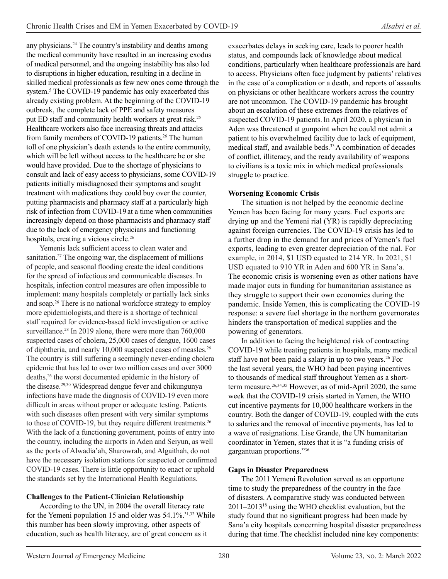any physicians.24 The country's instability and deaths among the medical community have resulted in an increasing exodus of medical personnel, and the ongoing instability has also led to disruptions in higher education, resulting in a decline in skilled medical professionals as few new ones come through the system.<sup>5</sup> The COVID-19 pandemic has only exacerbated this already existing problem. At the beginning of the COVID-19 outbreak, the complete lack of PPE and safety measures put ED staff and community health workers at great risk.<sup>25</sup> Healthcare workers also face increasing threats and attacks from family members of COVID-19 patients.<sup>26</sup> The human toll of one physician's death extends to the entire community, which will be left without access to the healthcare he or she would have provided. Due to the shortage of physicians to consult and lack of easy access to physicians, some COVID-19 patients initially misdiagnosed their symptoms and sought treatment with medications they could buy over the counter, putting pharmacists and pharmacy staff at a particularly high risk of infection from COVID-19 at a time when communities increasingly depend on those pharmacists and pharmacy staff due to the lack of emergency physicians and functioning hospitals, creating a vicious circle. 26

Yemenis lack sufficient access to clean water and sanitation.<sup>27</sup> The ongoing war, the displacement of millions of people, and seasonal flooding create the ideal conditions for the spread of infectious and communicable diseases. In hospitals, infection control measures are often impossible to implement: many hospitals completely or partially lack sinks and soap.26 There is no national workforce strategy to employ more epidemiologists, and there is a shortage of technical staff required for evidence-based field investigation or active surveillance.<sup>28</sup> In 2019 alone, there were more than 760,000 suspected cases of cholera, 25,000 cases of dengue, 1600 cases of diphtheria, and nearly 10,000 suspected cases of measles.26 The country is still suffering a seemingly never-ending cholera epidemic that has led to over two million cases and over 3000 deaths,<sup>26</sup> the worst documented epidemic in the history of the disease.<sup>29,30</sup> Widespread dengue fever and chikungunya infections have made the diagnosis of COVID-19 even more difficult in areas without proper or adequate testing. Patients with such diseases often present with very similar symptoms to those of COVID-19, but they require different treatments.<sup>26</sup> With the lack of a functioning government, points of entry into the country, including the airports in Aden and Seiyun, as well as the ports of Alwadia'ah, Sharowrah, and Algaithah, do not have the necessary isolation stations for suspected or confirmed COVID-19 cases. There is little opportunity to enact or uphold the standards set by the International Health Regulations.

#### **Challenges to the Patient-Clinician Relationship**

According to the UN, in 2004 the overall literacy rate for the Yemeni population 15 and older was  $54.1\%$ .<sup>31,32</sup> While this number has been slowly improving, other aspects of education, such as health literacy, are of great concern as it

exacerbates delays in seeking care, leads to poorer health status, and compounds lack of knowledge about medical conditions, particularly when healthcare professionals are hard to access. Physicians often face judgment by patients' relatives in the case of a complication or a death, and reports of assaults on physicians or other healthcare workers across the country are not uncommon. The COVID-19 pandemic has brought about an escalation of these extremes from the relatives of suspected COVID-19 patients.In April 2020, a physician in Aden was threatened at gunpoint when he could not admit a patient to his overwhelmed facility due to lack of equipment, medical staff, and available beds.<sup>33</sup> A combination of decades of conflict, illiteracy, and the ready availability of weapons to civilians is a toxic mix in which medical professionals struggle to practice.

#### **Worsening Economic Crisis**

The situation is not helped by the economic decline Yemen has been facing for many years. Fuel exports are drying up and the Yemeni rial (YR) is rapidly depreciating against foreign currencies. The COVID-19 crisis has led to a further drop in the demand for and prices of Yemen's fuel exports, leading to even greater depreciation of the rial. For example, in 2014, \$1 USD equated to 214 YR. In 2021, \$1 USD equated to 910 YR in Aden and 600 YR in Sana'a. The economic crisis is worsening even as other nations have made major cuts in funding for humanitarian assistance as they struggle to support their own economies during the pandemic. Inside Yemen, this is complicating the COVID-19 response: a severe fuel shortage in the northern governorates hinders the transportation of medical supplies and the powering of generators.

In addition to facing the heightened risk of contracting COVID-19 while treating patients in hospitals, many medical staff have not been paid a salary in up to two years.<sup>26</sup> For the last several years, the WHO had been paying incentives to thousands of medical staff throughout Yemen as a shortterm measure. 26,34,35 However, as of mid-April 2020, the same week that the COVID-19 crisis started in Yemen, the WHO cut incentive payments for 10,000 healthcare workers in the country. Both the danger of COVID-19, coupled with the cuts to salaries and the removal of incentive payments, has led to a wave of resignations. Lise Grande, the UN humanitarian coordinator in Yemen, states that it is "a funding crisis of gargantuan proportions."36

#### **Gaps in Disaster Preparedness**

The 2011 Yemeni Revolution served as an opportune time to study the preparedness of the country in the face of disasters. A comparative study was conducted between 2011–201318 using the WHO checklist evaluation, but the study found that no significant progress had been made by Sana'a city hospitals concerning hospital disaster preparedness during that time. The checklist included nine key components: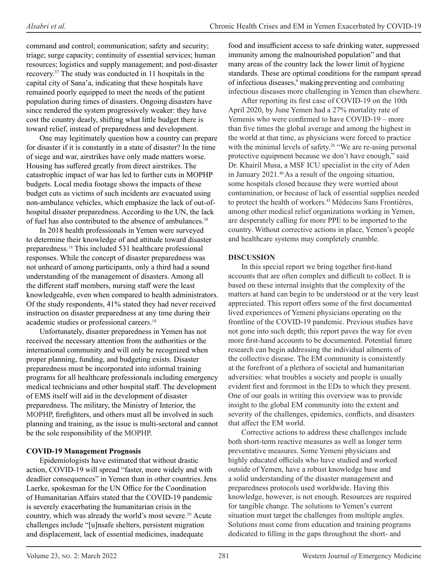command and control; communication; safety and security; triage; surge capacity; continuity of essential services; human resources; logistics and supply management; and post-disaster recovery.37 The study was conducted in 11 hospitals in the capital city of Sana'a, indicating that these hospitals have remained poorly equipped to meet the needs of the patient population during times of disasters. Ongoing disasters have since rendered the system progressively weaker: they have cost the country dearly, shifting what little budget there is toward relief, instead of preparedness and development.

One may legitimately question how a country can prepare for disaster if it is constantly in a state of disaster? In the time of siege and war, airstrikes have only made matters worse. Housing has suffered greatly from direct airstrikes. The catastrophic impact of war has led to further cuts in MOPHP budgets. Local media footage shows the impacts of these budget cuts as victims of such incidents are evacuated using non-ambulance vehicles, which emphasize the lack of out-ofhospital disaster preparedness. According to the UN, the lack of fuel has also contributed to the absence of ambulances.<sup>38</sup>

In 2018 health professionals in Yemen were surveyed to determine their knowledge of and attitude toward disaster preparedness. 18 This included 531 healthcare professional responses. While the concept of disaster preparedness was not unheard of among participants, only a third had a sound understanding of the management of disasters. Among all the different staff members, nursing staff were the least knowledgeable, even when compared to health administrators. Of the study respondents, 41% stated they had never received instruction on disaster preparedness at any time during their academic studies or professional careers.18

Unfortunately, disaster preparedness in Yemen has not received the necessary attention from the authorities or the international community and will only be recognized when proper planning, funding, and budgeting exists. Disaster preparedness must be incorporated into informal training programs for all healthcare professionals including emergency medical technicians and other hospital staff. The development of EMS itself will aid in the development of disaster preparedness. The military, the Ministry of Interior, the MOPHP, firefighters, and others must all be involved in such planning and training, as the issue is multi-sectoral and cannot be the sole responsibility of the MOPHP.

#### **COVID-19 Management Prognosis**

Epidemiologists have estimated that without drastic action, COVID-19 will spread "faster, more widely and with deadlier consequences" in Yemen than in other countries.Jens Laerke, spokesman for the UN Office for the Coordination of Humanitarian Affairs stated that the COVID-19 pandemic is severely exacerbating the humanitarian crisis in the country, which was already the world's most severe. <sup>39</sup> Acute challenges include "[u]nsafe shelters, persistent migration and displacement, lack of essential medicines, inadequate

food and insufficient access to safe drinking water, suppressed immunity among the malnourished population" and that many areas of the country lack the lower limit of hygiene standards. These are optimal conditions for the rampant spread of infectious diseases,<sup>9</sup> making preventing and combating infectious diseases more challenging in Yemen than elsewhere.

After reporting its first case of COVID-19 on the 10th April 2020, by June Yemen had a 27% mortality rate of Yemenis who were confirmed to have COVID-19 – more than five times the global average and among the highest in the world at that time, as physicians were forced to practice with the minimal levels of safety.<sup>26</sup> "We are re-using personal protective equipment because we don't have enough," said Dr. Khairil Musa, a MSF ICU specialist in the city of Aden in January 2021.<sup>40</sup> As a result of the ongoing situation, some hospitals closed because they were worried about contamination, or because of lack of essential supplies needed to protect the health of workers.<sup>41</sup> Médecins Sans Frontières, among other medical relief organizations working in Yemen, are desperately calling for more PPE to be imported to the country. Without corrective actions in place, Yemen's people and healthcare systems may completely crumble.

#### **DISCUSSION**

In this special report we bring together first-hand accounts that are often complex and difficult to collect. It is based on these internal insights that the complexity of the matters at hand can begin to be understood or at the very least appreciated. This report offers some of the first documented lived experiences of Yemeni physicians operating on the frontline of the COVID-19 pandemic. Previous studies have not gone into such depth; this report paves the way for even more first-hand accounts to be documented. Potential future research can begin addressing the individual ailments of the collective disease. The EM community is consistently at the forefront of a plethora of societal and humanitarian adversities: what troubles a society and people is usually evident first and foremost in the EDs to which they present. One of our goals in writing this overview was to provide insight to the global EM community into the extent and severity of the challenges, epidemics, conflicts, and disasters that affect the EM world.

Corrective actions to address these challenges include both short-term reactive measures as well as longer term preventative measures. Some Yemeni physicians and highly educated officials who have studied and worked outside of Yemen, have a robust knowledge base and a solid understanding of the disaster management and preparedness protocols used worldwide. Having this knowledge, however, is not enough. Resources are required for tangible change. The solutions to Yemen's current situation must target the challenges from multiple angles. Solutions must come from education and training programs dedicated to filling in the gaps throughout the short- and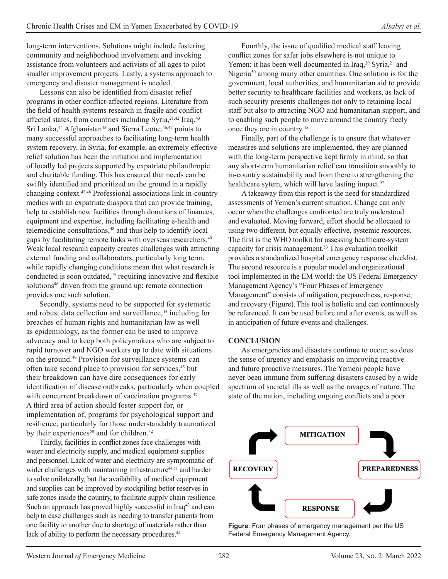long-term interventions. Solutions might include fostering community and neighborhood involvement and invoking assistance from volunteers and activists of all ages to pilot smaller improvement projects. Lastly, a systems approach to emergency and disaster management is needed.

Lessons can also be identified from disaster relief programs in other conflict-affected regions. Literature from the field of health systems research in fragile and conflict affected states, from countries including Syria,<sup>21,42</sup> Iraq,<sup>43</sup> Sri Lanka,<sup>44</sup> Afghanistan<sup>45</sup> and Sierra Leone,<sup>46,47</sup> points to many successful approaches to facilitating long-term health system recovery. In Syria, for example, an extremely effective relief solution has been the initiation and implementation of locally led projects supported by expatriate philanthropic and charitable funding. This has ensured that needs can be swiftly identified and prioritized on the ground in a rapidly changing context.42,48 Professional associations link in-country medics with an expatriate diaspora that can provide training, help to establish new facilities through donations of finances, equipment and expertise, including facilitating e-health and telemedicine consultations,<sup>48</sup> and thus help to identify local gaps by facilitating remote links with overseas researchers.49 Weak local research capacity creates challenges with attracting external funding and collaborators, particularly long term, while rapidly changing conditions mean that what research is conducted is soon outdated,<sup>45</sup> requiring innovative and flexible solutions<sup>46</sup> driven from the ground up: remote connection provides one such solution.

Secondly, systems need to be supported for systematic and robust data collection and surveillance,<sup>45</sup> including for breaches of human rights and humanitarian law as well as epidemiology, as the former can be used to improve advocacy and to keep both policymakers who are subject to rapid turnover and NGO workers up to date with situations on the ground.49 Provision for surveillance systems can often take second place to provision for services,<sup>45</sup> but their breakdown can have dire consequences for early identification of disease outbreaks, particularly when coupled with concurrent breakdown of vaccination programs.<sup>47</sup> A third area of action should foster support for, or implementation of, programs for psychological support and resilience, particularly for those understandably traumatized by their experiences<sup>50</sup> and for children.<sup>42</sup>

Thirdly, facilities in conflict zones face challenges with water and electricity supply, and medical equipment supplies and personnel. Lack of water and electricity are symptomatic of wider challenges with maintaining infrastructure<sup>44,51</sup> and harder to solve unilaterally, but the availability of medical equipment and supplies can be improved by stockpiling better reserves in safe zones inside the country, to facilitate supply chain resilience. Such an approach has proved highly successful in Iraq<sup>43</sup> and can help to ease challenges such as needing to transfer patients from one facility to another due to shortage of materials rather than lack of ability to perform the necessary procedures.<sup>44</sup>

Fourthly, the issue of qualified medical staff leaving conflict zones for safer jobs elsewhere is not unique to Yemen: it has been well documented in Iraq,<sup>20</sup> Syria,<sup>21</sup> and Nigeria<sup>50</sup> among many other countries. One solution is for the government, local authorities, and humanitarian aid to provide better security to healthcare facilities and workers, as lack of such security presents challenges not only to retaining local staff but also to attracting NGO and humanitarian support, and to enabling such people to move around the country freely once they are in country.45

Finally, part of the challenge is to ensure that whatever measures and solutions are implemented, they are planned with the long-term perspective kept firmly in mind, so that any short-term humanitarian relief can transition smoothly to in-country sustainability and from there to strengthening the healthcare sytem, which will have lasting impact.<sup>52</sup>

A takeaway from this report is the need for standardized assessments of Yemen's current situation. Change can only occur when the challenges confronted are truly understood and evaluated. Moving forward, effort should be allocated to using two different, but equally effective, systemic resources. The first is the WHO toolkit for assessing healthcare-system capacity for crisis management.<sup>53</sup> This evaluation toolkit provides a standardized hospital emergency response checklist. The second resource is a popular model and organizational tool implemented in the EM world: the US Federal Emergency Management Agency's "Four Phases of Emergency Management" consists of mitigation, preparedness, response, and recovery (Figure).This tool is holistic and can continuously be referenced. It can be used before and after events, as well as in anticipation of future events and challenges.

#### **CONCLUSION**

As emergencies and disasters continue to occur, so does the sense of urgency and emphasis on improving reactive and future proactive measures. The Yemeni people have never been immune from suffering disasters caused by a wide spectrum of societal ills as well as the ravages of nature. The state of the nation, including ongoing conflicts and a poor



**Figure**. Four phases of emergency management per the US Federal Emergency Management Agency.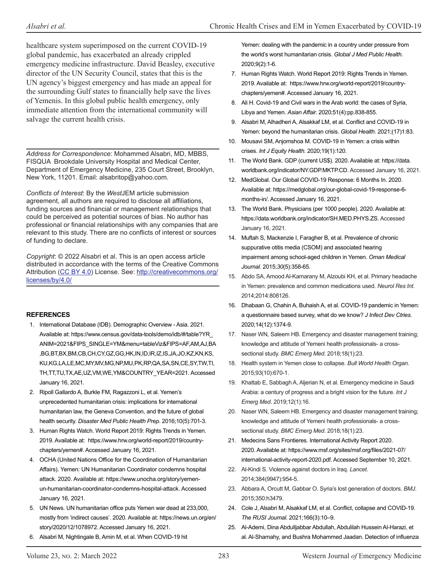healthcare system superimposed on the current COVID-19 global pandemic, has exacerbated an already crippled emergency medicine infrastructure. David Beasley, executive director of the UN Security Council, states that this is the UN agency's biggest emergency and has made an appeal for the surrounding Gulf states to financially help save the lives of Yemenis. In this global public health emergency, only immediate attention from the international community will salvage the current health crisis.

*Address for Correspondence*: Mohammed Alsabri, MD, MBBS, FISQUA Brookdale University Hospital and Medical Center, Department of Emergency Medicine, 235 Court Street, Brooklyn, New York, 11201. Email: alsabritop@yahoo.com.

*Conflicts of Interest*: By the *West*JEM article submission agreement, all authors are required to disclose all affiliations, funding sources and financial or management relationships that could be perceived as potential sources of bias. No author has professional or financial relationships with any companies that are relevant to this study. There are no conflicts of interest or sources of funding to declare.

*Copyright*: © 2022 Alsabri et al. This is an open access article distributed in accordance with the terms of the Creative Commons Attribution [\(CC BY 4.0](http://creativecommons.org/licenses/by/4.0/)) License. See: [http://creativecommons.org/](http://creativecommons.org/licenses/by/4.0/) [licenses/by/4.0/](http://creativecommons.org/licenses/by/4.0/)

#### **REFERENCES**

- 1. International Database (IDB). Demographic Overview Asia. 2021. Available at: https://www.census.gov/data-tools/demo/idb/#/table?YR\_ ANIM=2021&FIPS\_SINGLE=YM&menu=tableViz&FIPS=AF,AM,AJ,BA ,BG,BT,BX,BM,CB,CH,CY,GZ,GG,HK,IN,ID,IR,IZ,IS,JA,JO,KZ,KN,KS, KU,KG,LA,LE,MC,MY,MV,MG,NP,MU,PK,RP,QA,SA,SN,CE,SY,TW,TI, TH,TT,TU,TX,AE,UZ,VM,WE,YM&COUNTRY\_YEAR=2021. Accessed January 16, 2021.
- 2. Ripoll Gallardo A, Burkle FM, Ragazzoni L, et al. Yemen's unprecedented humanitarian crisis: implications for international humanitarian law, the Geneva Convention, and the future of global health security. *Disaster Med Public Health Prep*. 2016;10(5):701-3.
- 3. Human Rights Watch. World Report 2019: Rights Trends in Yemen. 2019. Available at: https://www.hrw.org/world-report/2019/countrychapters/yemen#. Accessed January 16, 2021.
- 4. OCHA (United Nations Office for the Coordination of Humanitarian Affairs). Yemen: UN Humanitarian Coordinator condemns hospital attack. 2020. Available at: https://www.unocha.org/story/yemenun-humanitarian-coordinator-condemns-hospital-attack. Accessed January 16, 2021.
- 5. UN News. UN humanitarian office puts Yemen war dead at 233,000, mostly from 'indirect causes'. 2020. Available at: https://news.un.org/en/ story/2020/12/1078972. Accessed January 16, 2021.
- 6. Alsabri M, Nightingale B, Amin M, et al. When COVID-19 hit

Yemen: dealing with the pandemic in a country under pressure from the world's worst humanitarian crisis. *Global J Med Public Health*. 2020;9(2):1-6.

- 7. Human Rights Watch. World Report 2019: Rights Trends in Yemen. 2019. Available at: https://www.hrw.org/world-report/2019/countrychapters/yemen#. Accessed January 16, 2021.
- 8. Ali H. Covid-19 and Civil wars in the Arab world: the cases of Syria, Libya and Yemen. *Asian Affair.* 2020;51(4):pp.838-855.
- 9. Alsabri M, Alhadheri A, Alsakkaf LM, et al. Conflict and COVID-19 in Yemen: beyond the humanitarian crisis. *Global Health*. 2021;(17)1:83.
- 10. Mousavi SM, Anjomshoa M. COVID-19 in Yemen: a crisis within crises. *Int J Equity Health.* 2020;19(1):120.
- 11. The World Bank. GDP (current US\$). 2020. Available at: https://data. worldbank.org/indicator/NY.GDP.MKTP.CD. Accessed January 16, 2021.
- 12. MedGlobal. Our Global COVID-19 Response: 6 Months In. 2020. Available at: https://medglobal.org/our-global-covid-19-response-6 months-in/. Accessed January 16, 2021.
- 13. The World Bank. Physicians (per 1000 people). 2020. Available at: https://data.worldbank.org/indicator/SH.MED.PHYS.ZS. Accessed January 16, 2021.
- 14. Muftah S, Mackenzie I, Faragher B, et al. Prevalence of chronic suppurative otitis media (CSOM) and associated hearing impairment among school-aged children in Yemen. *Oman Medical Journal*. 2015;*30*(5):358-65.
- 15. Abdo SA, Amood Al-Kamarany M, Alzoubi KH, et al. Primary headache in Yemen: prevalence and common medications used. *Neurol Res Int*. 2014;2014:808126.
- 16. Dhabaan G, Chahin A, Buhaish A, et al. COVID-19 pandemic in Yemen: a questionnaire based survey, what do we know? *J Infect Dev Ctries*. 2020;14(12):1374-9.
- 17. Naser WN, Saleem HB. Emergency and disaster management training; knowledge and attitude of Yemeni health professionals- a crosssectional study. *BMC Emerg Med*. 2018;18(1):23.
- 18. Health system in Yemen close to collapse. *Bull World Health Organ*. 2015;93(10):670-1.
- 19. Khattab E, Sabbagh A, Aljerian N, et al. Emergency medicine in Saudi Arabia: a century of progress and a bright vision for the future. *Int J Emerg Med*. 2019;12(1):16.
- 20. Naser WN, Saleem HB. Emergency and disaster management training; knowledge and attitude of Yemeni health professionals- a crosssectional study. *BMC Emerg Med*. 2018;18(1):23.
- 21. Medecins Sans Frontieres. International Activity Report 2020. 2020. Available at: https://www.msf.org/sites/msf.org/files/2021-07/ international-activity-report-2020.pdf. Accessed September 10, 2021.
- 22. Al-Kindi S. Violence against doctors in Iraq. *Lancet.*  2014;384(9947):954-5.
- 23. Abbara A, Orcutt M, Gabbar O. Syria's lost generation of doctors. *BMJ*. 2015;350:h3479.
- 24. Cole J, Alsabri M, Alsakkaf LM, et al. Conflict, collapse and COVID-19. *The RUSI Journal*. 2021;166(3):10–9.
- 25. Al-Ademi, Dina Abdulljabbar Abdullah, Abdulilah Hussein Al-Harazi, et al. Al-Shamahy, and Bushra Mohammed Jaadan. Detection of influenza